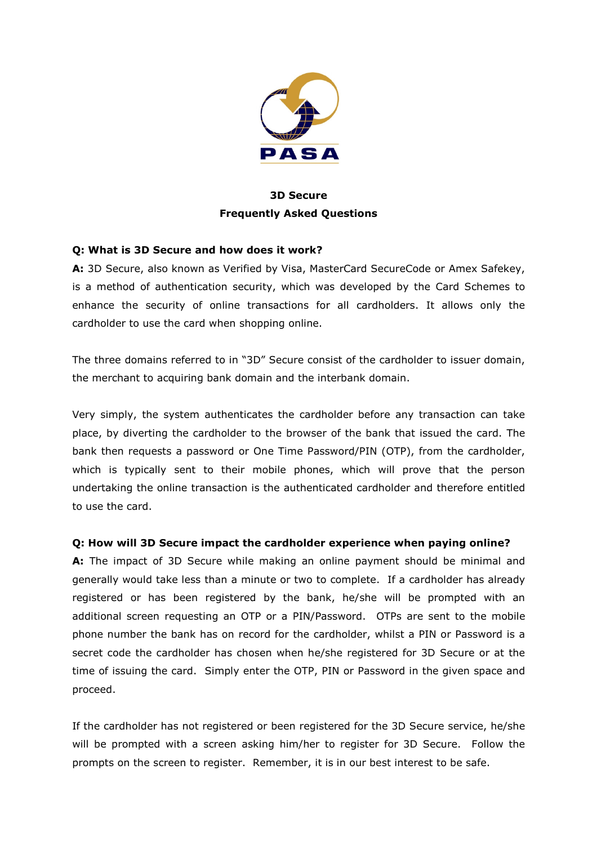

# 3D Secure Frequently Asked Questions

### Q: What is 3D Secure and how does it work?

A: 3D Secure, also known as Verified by Visa, MasterCard SecureCode or Amex Safekey, is a method of authentication security, which was developed by the Card Schemes to enhance the security of online transactions for all cardholders. It allows only the cardholder to use the card when shopping online.

The three domains referred to in "3D" Secure consist of the cardholder to issuer domain, the merchant to acquiring bank domain and the interbank domain.

Very simply, the system authenticates the cardholder before any transaction can take place, by diverting the cardholder to the browser of the bank that issued the card. The bank then requests a password or One Time Password/PIN (OTP), from the cardholder, which is typically sent to their mobile phones, which will prove that the person undertaking the online transaction is the authenticated cardholder and therefore entitled to use the card.

### Q: How will 3D Secure impact the cardholder experience when paying online?

A: The impact of 3D Secure while making an online payment should be minimal and generally would take less than a minute or two to complete. If a cardholder has already registered or has been registered by the bank, he/she will be prompted with an additional screen requesting an OTP or a PIN/Password. OTPs are sent to the mobile phone number the bank has on record for the cardholder, whilst a PIN or Password is a secret code the cardholder has chosen when he/she registered for 3D Secure or at the time of issuing the card. Simply enter the OTP, PIN or Password in the given space and proceed.

If the cardholder has not registered or been registered for the 3D Secure service, he/she will be prompted with a screen asking him/her to register for 3D Secure. Follow the prompts on the screen to register. Remember, it is in our best interest to be safe.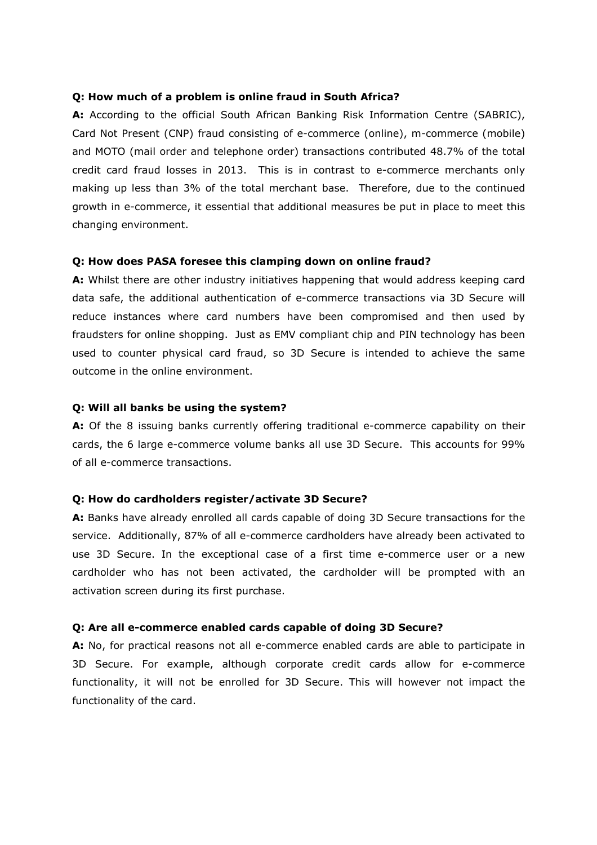#### Q: How much of a problem is online fraud in South Africa?

A: According to the official South African Banking Risk Information Centre (SABRIC), Card Not Present (CNP) fraud consisting of e-commerce (online), m-commerce (mobile) and MOTO (mail order and telephone order) transactions contributed 48.7% of the total credit card fraud losses in 2013. This is in contrast to e-commerce merchants only making up less than 3% of the total merchant base. Therefore, due to the continued growth in e-commerce, it essential that additional measures be put in place to meet this changing environment.

#### Q: How does PASA foresee this clamping down on online fraud?

A: Whilst there are other industry initiatives happening that would address keeping card data safe, the additional authentication of e-commerce transactions via 3D Secure will reduce instances where card numbers have been compromised and then used by fraudsters for online shopping. Just as EMV compliant chip and PIN technology has been used to counter physical card fraud, so 3D Secure is intended to achieve the same outcome in the online environment.

#### Q: Will all banks be using the system?

A: Of the 8 issuing banks currently offering traditional e-commerce capability on their cards, the 6 large e-commerce volume banks all use 3D Secure. This accounts for 99% of all e-commerce transactions.

#### Q: How do cardholders register/activate 3D Secure?

A: Banks have already enrolled all cards capable of doing 3D Secure transactions for the service. Additionally, 87% of all e-commerce cardholders have already been activated to use 3D Secure. In the exceptional case of a first time e-commerce user or a new cardholder who has not been activated, the cardholder will be prompted with an activation screen during its first purchase.

#### Q: Are all e-commerce enabled cards capable of doing 3D Secure?

A: No, for practical reasons not all e-commerce enabled cards are able to participate in 3D Secure. For example, although corporate credit cards allow for e-commerce functionality, it will not be enrolled for 3D Secure. This will however not impact the functionality of the card.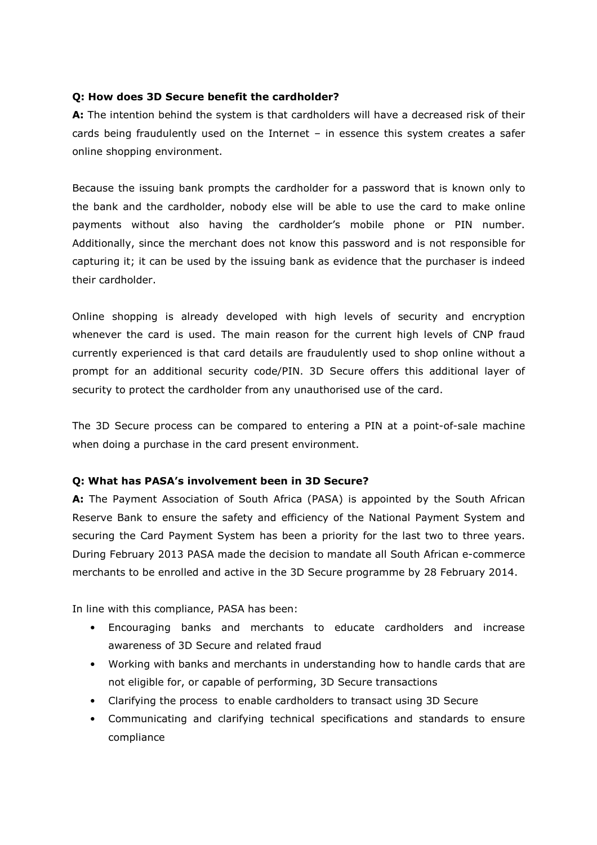### Q: How does 3D Secure benefit the cardholder?

A: The intention behind the system is that cardholders will have a decreased risk of their cards being fraudulently used on the Internet – in essence this system creates a safer online shopping environment.

Because the issuing bank prompts the cardholder for a password that is known only to the bank and the cardholder, nobody else will be able to use the card to make online payments without also having the cardholder's mobile phone or PIN number. Additionally, since the merchant does not know this password and is not responsible for capturing it; it can be used by the issuing bank as evidence that the purchaser is indeed their cardholder.

Online shopping is already developed with high levels of security and encryption whenever the card is used. The main reason for the current high levels of CNP fraud currently experienced is that card details are fraudulently used to shop online without a prompt for an additional security code/PIN. 3D Secure offers this additional layer of security to protect the cardholder from any unauthorised use of the card.

The 3D Secure process can be compared to entering a PIN at a point-of-sale machine when doing a purchase in the card present environment.

### Q: What has PASA's involvement been in 3D Secure?

A: The Payment Association of South Africa (PASA) is appointed by the South African Reserve Bank to ensure the safety and efficiency of the National Payment System and securing the Card Payment System has been a priority for the last two to three years. During February 2013 PASA made the decision to mandate all South African e-commerce merchants to be enrolled and active in the 3D Secure programme by 28 February 2014.

In line with this compliance, PASA has been:

- Encouraging banks and merchants to educate cardholders and increase awareness of 3D Secure and related fraud
- Working with banks and merchants in understanding how to handle cards that are not eligible for, or capable of performing, 3D Secure transactions
- Clarifying the process to enable cardholders to transact using 3D Secure
- Communicating and clarifying technical specifications and standards to ensure compliance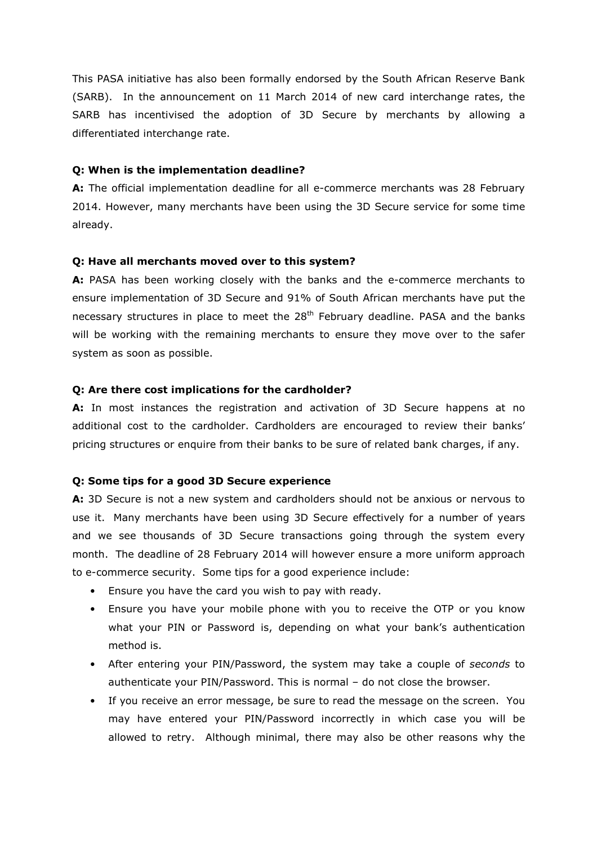This PASA initiative has also been formally endorsed by the South African Reserve Bank (SARB). In the announcement on 11 March 2014 of new card interchange rates, the SARB has incentivised the adoption of 3D Secure by merchants by allowing a differentiated interchange rate.

#### Q: When is the implementation deadline?

A: The official implementation deadline for all e-commerce merchants was 28 February 2014. However, many merchants have been using the 3D Secure service for some time already.

#### Q: Have all merchants moved over to this system?

A: PASA has been working closely with the banks and the e-commerce merchants to ensure implementation of 3D Secure and 91% of South African merchants have put the necessary structures in place to meet the  $28<sup>th</sup>$  February deadline. PASA and the banks will be working with the remaining merchants to ensure they move over to the safer system as soon as possible.

#### Q: Are there cost implications for the cardholder?

A: In most instances the registration and activation of 3D Secure happens at no additional cost to the cardholder. Cardholders are encouraged to review their banks' pricing structures or enquire from their banks to be sure of related bank charges, if any.

### Q: Some tips for a good 3D Secure experience

A: 3D Secure is not a new system and cardholders should not be anxious or nervous to use it. Many merchants have been using 3D Secure effectively for a number of years and we see thousands of 3D Secure transactions going through the system every month. The deadline of 28 February 2014 will however ensure a more uniform approach to e-commerce security. Some tips for a good experience include:

- Ensure you have the card you wish to pay with ready.
- Ensure you have your mobile phone with you to receive the OTP or you know what your PIN or Password is, depending on what your bank's authentication method is.
- After entering your PIN/Password, the system may take a couple of seconds to authenticate your PIN/Password. This is normal – do not close the browser.
- If you receive an error message, be sure to read the message on the screen. You may have entered your PIN/Password incorrectly in which case you will be allowed to retry. Although minimal, there may also be other reasons why the